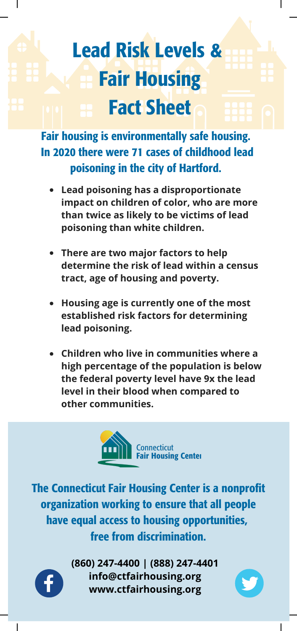## Lead Risk Levels & Fair Housing Fact Sheet

Fair housing is environmentally safe housing. In 2020 there were 71 cases of childhood lead poisoning in the city of Hartford.

- **Lead poisoning has a disproportionate impact on children of color, who are more than twice as likely to be victims of lead poisoning than white children.**
- **There are two major factors to help determine the risk of lead within a census tract, age of housing and poverty.**
- **Housing age is currently one of the most established risk factors for determining lead poisoning.**
- **Children who live in communities where a high percentage of the population is below the federal poverty level have 9x the lead level in their blood when compared to other communities.**



The Connecticut Fair Housing Center is a nonprofit organization working to ensure that all people have equal access to housing opportunities, free from discrimination.



**(860) 247-4400 | (888) 247-4401 info@ctfairhousing.org www.ctfairhousing.org**